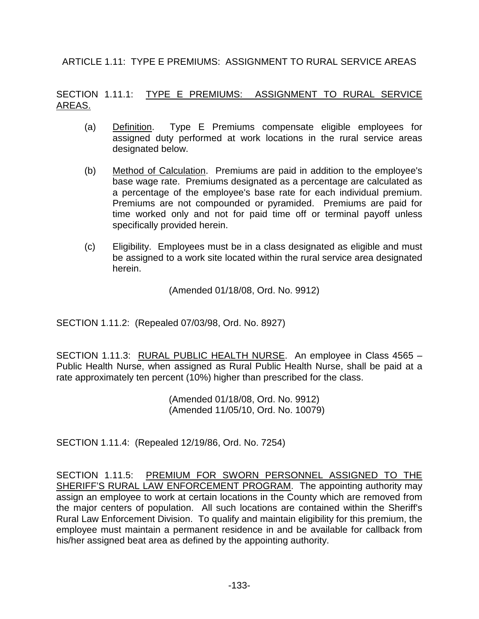## ARTICLE 1.11: TYPE E PREMIUMS: ASSIGNMENT TO RURAL SERVICE AREAS

## SECTION 1.11.1: TYPE E PREMIUMS: ASSIGNMENT TO RURAL SERVICE AREAS.

- (a) Definition. Type E Premiums compensate eligible employees for assigned duty performed at work locations in the rural service areas designated below.
- (b) Method of Calculation. Premiums are paid in addition to the employee's base wage rate. Premiums designated as a percentage are calculated as a percentage of the employee's base rate for each individual premium. Premiums are not compounded or pyramided. Premiums are paid for time worked only and not for paid time off or terminal payoff unless specifically provided herein.
- (c) Eligibility. Employees must be in a class designated as eligible and must be assigned to a work site located within the rural service area designated herein.

(Amended 01/18/08, Ord. No. 9912)

SECTION 1.11.2: (Repealed 07/03/98, Ord. No. 8927)

SECTION 1.11.3: RURAL PUBLIC HEALTH NURSE. An employee in Class 4565 – Public Health Nurse, when assigned as Rural Public Health Nurse, shall be paid at a rate approximately ten percent (10%) higher than prescribed for the class.

> (Amended 01/18/08, Ord. No. 9912) (Amended 11/05/10, Ord. No. 10079)

SECTION 1.11.4: (Repealed 12/19/86, Ord. No. 7254)

SECTION 1.11.5: PREMIUM FOR SWORN PERSONNEL ASSIGNED TO THE SHERIFF'S RURAL LAW ENFORCEMENT PROGRAM. The appointing authority may assign an employee to work at certain locations in the County which are removed from the major centers of population. All such locations are contained within the Sheriff's Rural Law Enforcement Division. To qualify and maintain eligibility for this premium, the employee must maintain a permanent residence in and be available for callback from his/her assigned beat area as defined by the appointing authority.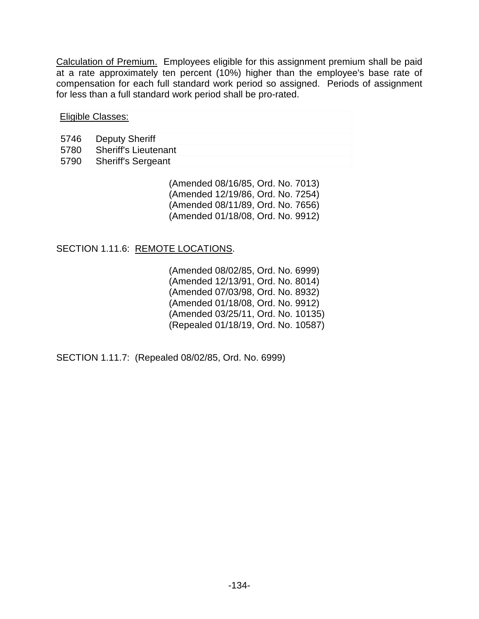Calculation of Premium. Employees eligible for this assignment premium shall be paid at a rate approximately ten percent (10%) higher than the employee's base rate of compensation for each full standard work period so assigned. Periods of assignment for less than a full standard work period shall be pro-rated.

## Eligible Classes:

- 5746 Deputy Sheriff
- 5780 Sheriff's Lieutenant
- 5790 Sheriff's Sergeant

(Amended 08/16/85, Ord. No. 7013) (Amended 12/19/86, Ord. No. 7254) (Amended 08/11/89, Ord. No. 7656) (Amended 01/18/08, Ord. No. 9912)

## SECTION 1.11.6: REMOTE LOCATIONS.

(Amended 08/02/85, Ord. No. 6999) (Amended 12/13/91, Ord. No. 8014) (Amended 07/03/98, Ord. No. 8932) (Amended 01/18/08, Ord. No. 9912) (Amended 03/25/11, Ord. No. 10135) (Repealed 01/18/19, Ord. No. 10587)

SECTION 1.11.7: (Repealed 08/02/85, Ord. No. 6999)